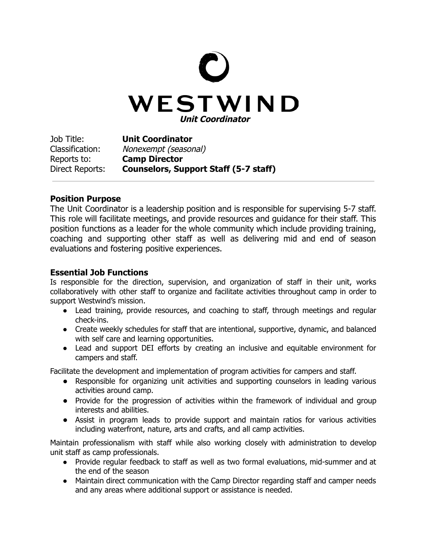

Job Title: **Unit Coordinator** Classification: Nonexempt (seasonal) Reports to: **Camp Director** Direct Reports: **Counselors, Support Staff (5-7 staff)**

## **Position Purpose**

The Unit Coordinator is a leadership position and is responsible for supervising 5-7 staff. This role will facilitate meetings, and provide resources and guidance for their staff. This position functions as a leader for the whole community which include providing training, coaching and supporting other staff as well as delivering mid and end of season evaluations and fostering positive experiences.

## **Essential Job Functions**

Is responsible for the direction, supervision, and organization of staff in their unit, works collaboratively with other staff to organize and facilitate activities throughout camp in order to support Westwind's mission.

- Lead training, provide resources, and coaching to staff, through meetings and regular check-ins.
- Create weekly schedules for staff that are intentional, supportive, dynamic, and balanced with self care and learning opportunities.
- Lead and support DEI efforts by creating an inclusive and equitable environment for campers and staff.

Facilitate the development and implementation of program activities for campers and staff.

- **●** Responsible for organizing unit activities and supporting counselors in leading various activities around camp.
- **●** Provide for the progression of activities within the framework of individual and group interests and abilities.
- **●** Assist in program leads to provide support and maintain ratios for various activities including waterfront, nature, arts and crafts, and all camp activities.

Maintain professionalism with staff while also working closely with administration to develop unit staff as camp professionals.

- Provide regular feedback to staff as well as two formal evaluations, mid-summer and at the end of the season
- Maintain direct communication with the Camp Director regarding staff and camper needs and any areas where additional support or assistance is needed.